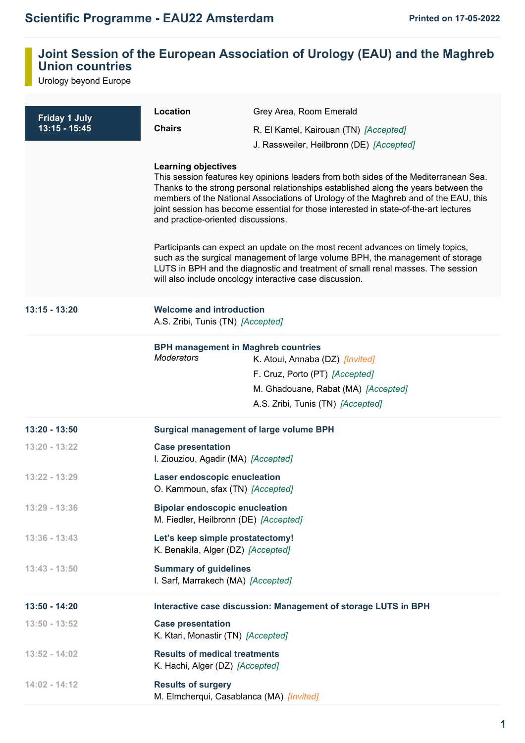## **Joint Session of the European Association of Urology (EAU) and the Maghreb Union countries**

Urology beyond Europe

| <b>Friday 1 July</b><br>$13:15 - 15:45$ | Location                                                                       | Grey Area, Room Emerald                                                                                                                                                                                                                                                                                                                                                                                                                                                                                                                                                                                                                                                       |
|-----------------------------------------|--------------------------------------------------------------------------------|-------------------------------------------------------------------------------------------------------------------------------------------------------------------------------------------------------------------------------------------------------------------------------------------------------------------------------------------------------------------------------------------------------------------------------------------------------------------------------------------------------------------------------------------------------------------------------------------------------------------------------------------------------------------------------|
|                                         | <b>Chairs</b>                                                                  | R. El Kamel, Kairouan (TN) [Accepted]                                                                                                                                                                                                                                                                                                                                                                                                                                                                                                                                                                                                                                         |
|                                         |                                                                                | J. Rassweiler, Heilbronn (DE) [Accepted]                                                                                                                                                                                                                                                                                                                                                                                                                                                                                                                                                                                                                                      |
|                                         | <b>Learning objectives</b><br>and practice-oriented discussions.               | This session features key opinions leaders from both sides of the Mediterranean Sea.<br>Thanks to the strong personal relationships established along the years between the<br>members of the National Associations of Urology of the Maghreb and of the EAU, this<br>joint session has become essential for those interested in state-of-the-art lectures<br>Participants can expect an update on the most recent advances on timely topics,<br>such as the surgical management of large volume BPH, the management of storage<br>LUTS in BPH and the diagnostic and treatment of small renal masses. The session<br>will also include oncology interactive case discussion. |
| 13:15 - 13:20                           | <b>Welcome and introduction</b><br>A.S. Zribi, Tunis (TN) [Accepted]           |                                                                                                                                                                                                                                                                                                                                                                                                                                                                                                                                                                                                                                                                               |
|                                         | <b>BPH management in Maghreb countries</b><br><b>Moderators</b>                | K. Atoui, Annaba (DZ) [Invited]<br>F. Cruz, Porto (PT) [Accepted]<br>M. Ghadouane, Rabat (MA) [Accepted]<br>A.S. Zribi, Tunis (TN) [Accepted]                                                                                                                                                                                                                                                                                                                                                                                                                                                                                                                                 |
| 13:20 - 13:50                           | <b>Surgical management of large volume BPH</b>                                 |                                                                                                                                                                                                                                                                                                                                                                                                                                                                                                                                                                                                                                                                               |
| 13:20 - 13:22                           | <b>Case presentation</b><br>I. Ziouziou, Agadir (MA) [Accepted]                |                                                                                                                                                                                                                                                                                                                                                                                                                                                                                                                                                                                                                                                                               |
| $13:22 - 13:29$                         | Laser endoscopic enucleation<br>O. Kammoun, sfax (TN) [Accepted]               |                                                                                                                                                                                                                                                                                                                                                                                                                                                                                                                                                                                                                                                                               |
| $13:29 - 13:36$                         | <b>Bipolar endoscopic enucleation</b><br>M. Fiedler, Heilbronn (DE) [Accepted] |                                                                                                                                                                                                                                                                                                                                                                                                                                                                                                                                                                                                                                                                               |
| $13:36 - 13:43$                         | Let's keep simple prostatectomy!<br>K. Benakila, Alger (DZ) [Accepted]         |                                                                                                                                                                                                                                                                                                                                                                                                                                                                                                                                                                                                                                                                               |
| $13:43 - 13:50$                         | <b>Summary of guidelines</b><br>I. Sarf, Marrakech (MA) [Accepted]             |                                                                                                                                                                                                                                                                                                                                                                                                                                                                                                                                                                                                                                                                               |
| 13:50 - 14:20                           |                                                                                | Interactive case discussion: Management of storage LUTS in BPH                                                                                                                                                                                                                                                                                                                                                                                                                                                                                                                                                                                                                |
| $13:50 - 13:52$                         | <b>Case presentation</b><br>K. Ktari, Monastir (TN) [Accepted]                 |                                                                                                                                                                                                                                                                                                                                                                                                                                                                                                                                                                                                                                                                               |
| $13:52 - 14:02$                         | <b>Results of medical treatments</b><br>K. Hachi, Alger (DZ) [Accepted]        |                                                                                                                                                                                                                                                                                                                                                                                                                                                                                                                                                                                                                                                                               |
| $14:02 - 14:12$                         | <b>Results of surgery</b><br>M. Elmcherqui, Casablanca (MA) [Invited]          |                                                                                                                                                                                                                                                                                                                                                                                                                                                                                                                                                                                                                                                                               |